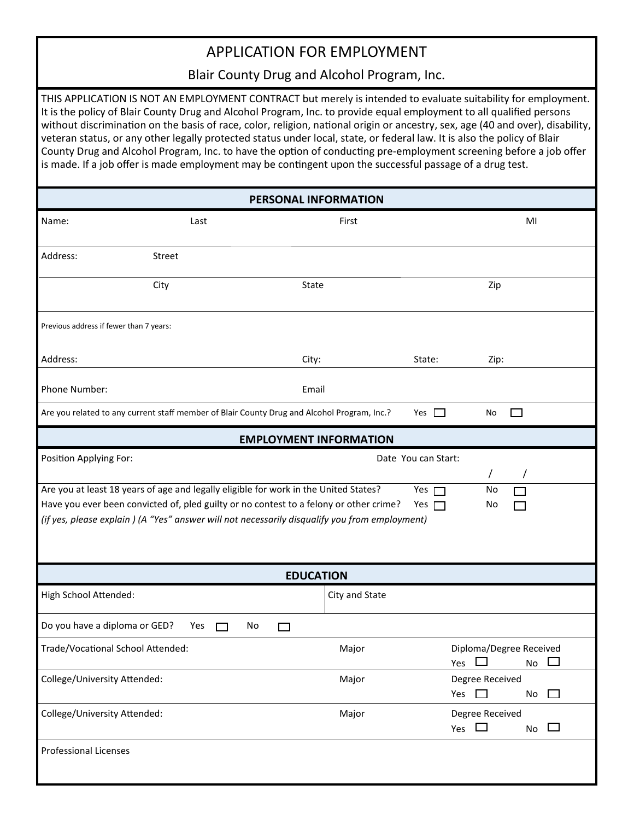## APPLICATION FOR EMPLOYMENT

Blair County Drug and Alcohol Program, Inc.

THIS APPLICATION IS NOT AN EMPLOYMENT CONTRACT but merely is intended to evaluate suitability for employment. It is the policy of Blair County Drug and Alcohol Program, Inc. to provide equal employment to all qualified persons without discrimination on the basis of race, color, religion, national origin or ancestry, sex, age (40 and over), disability, veteran status, or any other legally protected status under local, state, or federal law. It is also the policy of Blair County Drug and Alcohol Program, Inc. to have the option of conducting pre-employment screening before a job offer is made. If a job offer is made employment may be contingent upon the successful passage of a drug test.

| PERSONAL INFORMATION                                                                                                                                                                                                                                                                                                    |                                                                                             |                |                                                                |  |  |  |  |
|-------------------------------------------------------------------------------------------------------------------------------------------------------------------------------------------------------------------------------------------------------------------------------------------------------------------------|---------------------------------------------------------------------------------------------|----------------|----------------------------------------------------------------|--|--|--|--|
| Name:                                                                                                                                                                                                                                                                                                                   | Last                                                                                        | First          | MI                                                             |  |  |  |  |
| Address:                                                                                                                                                                                                                                                                                                                | Street                                                                                      |                |                                                                |  |  |  |  |
|                                                                                                                                                                                                                                                                                                                         | City<br>State                                                                               |                | Zip                                                            |  |  |  |  |
| Previous address if fewer than 7 years:                                                                                                                                                                                                                                                                                 |                                                                                             |                |                                                                |  |  |  |  |
| Address:                                                                                                                                                                                                                                                                                                                | City:                                                                                       | State:         | Zip:                                                           |  |  |  |  |
| Phone Number:                                                                                                                                                                                                                                                                                                           | Email                                                                                       |                |                                                                |  |  |  |  |
|                                                                                                                                                                                                                                                                                                                         | Are you related to any current staff member of Blair County Drug and Alcohol Program, Inc.? | Yes $\Box$     | No                                                             |  |  |  |  |
| <b>EMPLOYMENT INFORMATION</b>                                                                                                                                                                                                                                                                                           |                                                                                             |                |                                                                |  |  |  |  |
| Position Applying For:<br>Date You can Start:<br>$\prime$                                                                                                                                                                                                                                                               |                                                                                             |                |                                                                |  |  |  |  |
| Are you at least 18 years of age and legally eligible for work in the United States?<br>Yes $\Box$<br>No<br>Have you ever been convicted of, pled guilty or no contest to a felony or other crime?<br>Yes $\Box$<br>No<br>(if yes, please explain) (A "Yes" answer will not necessarily disqualify you from employment) |                                                                                             |                |                                                                |  |  |  |  |
| <b>EDUCATION</b>                                                                                                                                                                                                                                                                                                        |                                                                                             |                |                                                                |  |  |  |  |
| High School Attended:                                                                                                                                                                                                                                                                                                   |                                                                                             | City and State |                                                                |  |  |  |  |
| Do you have a diploma or GED?                                                                                                                                                                                                                                                                                           | Yes<br>No<br>$\Box$<br>$\Box$                                                               |                |                                                                |  |  |  |  |
| Trade/Vocational School Attended:                                                                                                                                                                                                                                                                                       |                                                                                             | Major          | Diploma/Degree Received<br>$\Box$<br>Yes<br>No                 |  |  |  |  |
| College/University Attended:                                                                                                                                                                                                                                                                                            |                                                                                             | Major          | Degree Received<br>Yes<br>$\overline{a}$<br>No<br>$\mathbf{I}$ |  |  |  |  |
| College/University Attended:                                                                                                                                                                                                                                                                                            |                                                                                             | Major          | Degree Received<br>Yes<br>$\Box$<br>$\Box$<br>No               |  |  |  |  |
| <b>Professional Licenses</b>                                                                                                                                                                                                                                                                                            |                                                                                             |                |                                                                |  |  |  |  |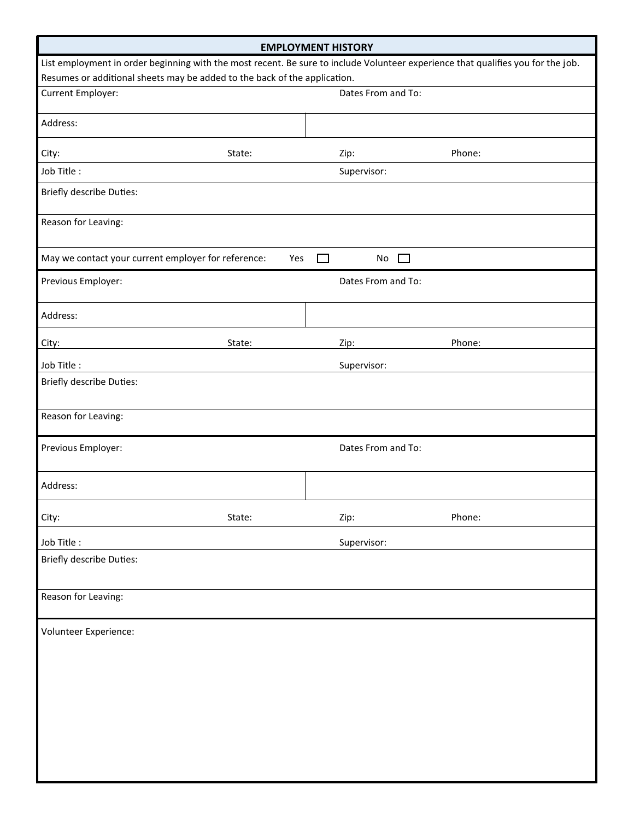| <b>EMPLOYMENT HISTORY</b>                                                                                                        |               |                    |        |  |  |  |  |  |
|----------------------------------------------------------------------------------------------------------------------------------|---------------|--------------------|--------|--|--|--|--|--|
| List employment in order beginning with the most recent. Be sure to include Volunteer experience that qualifies you for the job. |               |                    |        |  |  |  |  |  |
| Resumes or additional sheets may be added to the back of the application.                                                        |               |                    |        |  |  |  |  |  |
| Current Employer:                                                                                                                |               | Dates From and To: |        |  |  |  |  |  |
| Address:                                                                                                                         |               |                    |        |  |  |  |  |  |
| City:                                                                                                                            | State:        | Zip:               | Phone: |  |  |  |  |  |
| Job Title:                                                                                                                       |               | Supervisor:        |        |  |  |  |  |  |
| Briefly describe Duties:                                                                                                         |               |                    |        |  |  |  |  |  |
| Reason for Leaving:                                                                                                              |               |                    |        |  |  |  |  |  |
| May we contact your current employer for reference:                                                                              | Yes<br>$\Box$ | No<br>$\Box$       |        |  |  |  |  |  |
| Previous Employer:                                                                                                               |               | Dates From and To: |        |  |  |  |  |  |
| Address:                                                                                                                         |               |                    |        |  |  |  |  |  |
| City:                                                                                                                            | State:        | Zip:               | Phone: |  |  |  |  |  |
| Job Title:                                                                                                                       |               | Supervisor:        |        |  |  |  |  |  |
| <b>Briefly describe Duties:</b>                                                                                                  |               |                    |        |  |  |  |  |  |
| Reason for Leaving:                                                                                                              |               |                    |        |  |  |  |  |  |
| Previous Employer:                                                                                                               |               | Dates From and To: |        |  |  |  |  |  |
| Address:                                                                                                                         |               |                    |        |  |  |  |  |  |
| City:                                                                                                                            | State:        | Zip:               | Phone: |  |  |  |  |  |
| Job Title:                                                                                                                       |               | Supervisor:        |        |  |  |  |  |  |
| <b>Briefly describe Duties:</b>                                                                                                  |               |                    |        |  |  |  |  |  |
| Reason for Leaving:                                                                                                              |               |                    |        |  |  |  |  |  |
| Volunteer Experience:                                                                                                            |               |                    |        |  |  |  |  |  |
|                                                                                                                                  |               |                    |        |  |  |  |  |  |
|                                                                                                                                  |               |                    |        |  |  |  |  |  |
|                                                                                                                                  |               |                    |        |  |  |  |  |  |
|                                                                                                                                  |               |                    |        |  |  |  |  |  |
|                                                                                                                                  |               |                    |        |  |  |  |  |  |
|                                                                                                                                  |               |                    |        |  |  |  |  |  |
|                                                                                                                                  |               |                    |        |  |  |  |  |  |
|                                                                                                                                  |               |                    |        |  |  |  |  |  |